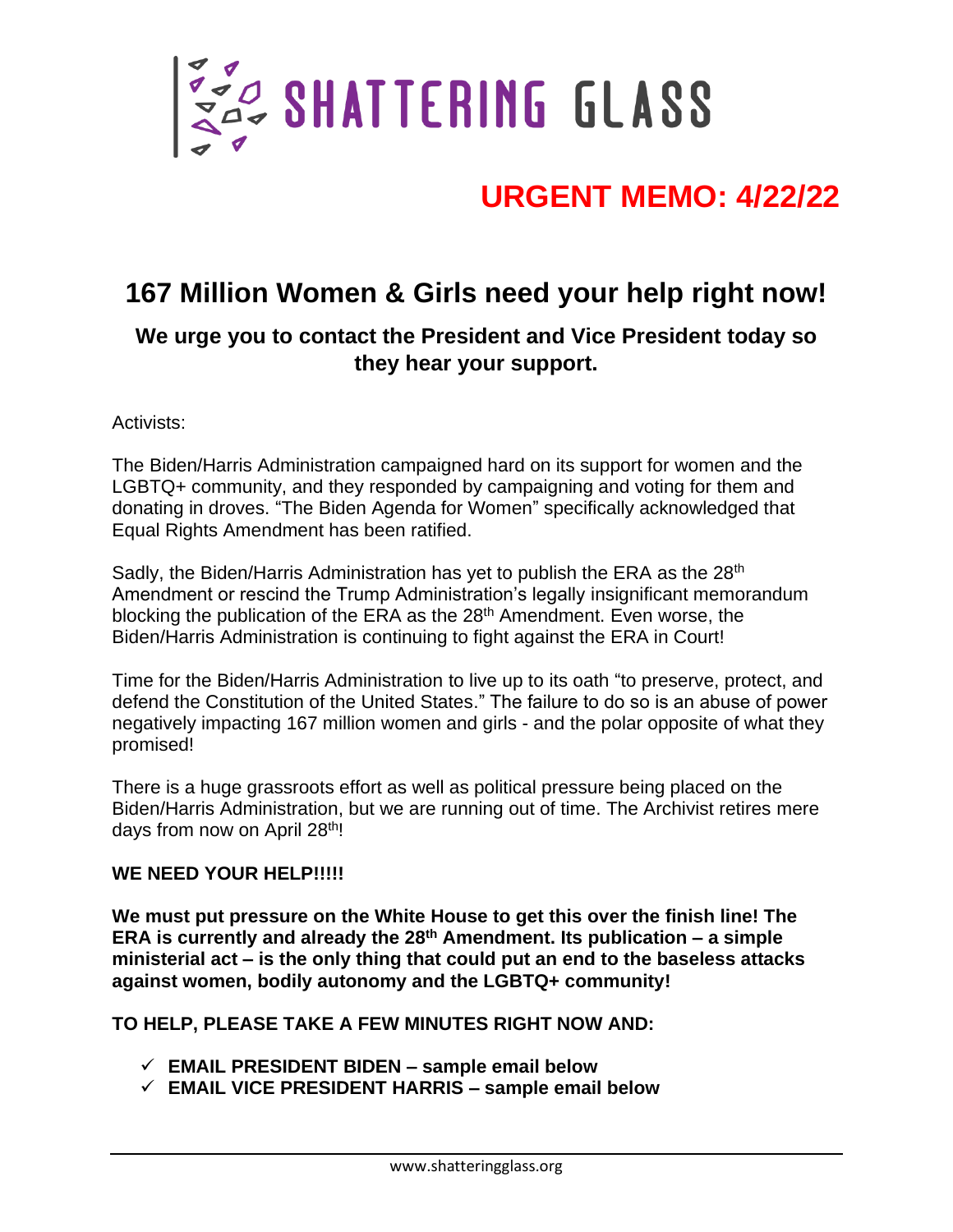

# **URGENT MEMO: 4/22/22**

## **167 Million Women & Girls need your help right now!**

### **We urge you to contact the President and Vice President today so they hear your support.**

#### Activists:

The Biden/Harris Administration campaigned hard on its support for women and the LGBTQ+ community, and they responded by campaigning and voting for them and donating in droves. "The Biden Agenda for Women" specifically acknowledged that Equal Rights Amendment has been ratified.

Sadly, the Biden/Harris Administration has yet to publish the ERA as the 28<sup>th</sup> Amendment or rescind the Trump Administration's legally insignificant memorandum blocking the publication of the ERA as the 28<sup>th</sup> Amendment. Even worse, the Biden/Harris Administration is continuing to fight against the ERA in Court!

Time for the Biden/Harris Administration to live up to its oath "to preserve, protect, and defend the Constitution of the United States." The failure to do so is an abuse of power negatively impacting 167 million women and girls - and the polar opposite of what they promised!

There is a huge grassroots effort as well as political pressure being placed on the Biden/Harris Administration, but we are running out of time. The Archivist retires mere days from now on April 28<sup>th</sup>!

#### WE NEED YOUR HELP!!!!!

**We must put pressure on the White House to get this over the finish line! The ERA is currently and already the 28th Amendment. Its publication – a simple ministerial act – is the only thing that could put an end to the baseless attacks against women, bodily autonomy and the LGBTQ+ community!**

#### **TO HELP, PLEASE TAKE A FEW MINUTES RIGHT NOW AND:**

- ✓ **EMAIL PRESIDENT BIDEN – sample email below**
- ✓ **EMAIL VICE PRESIDENT HARRIS – sample email below**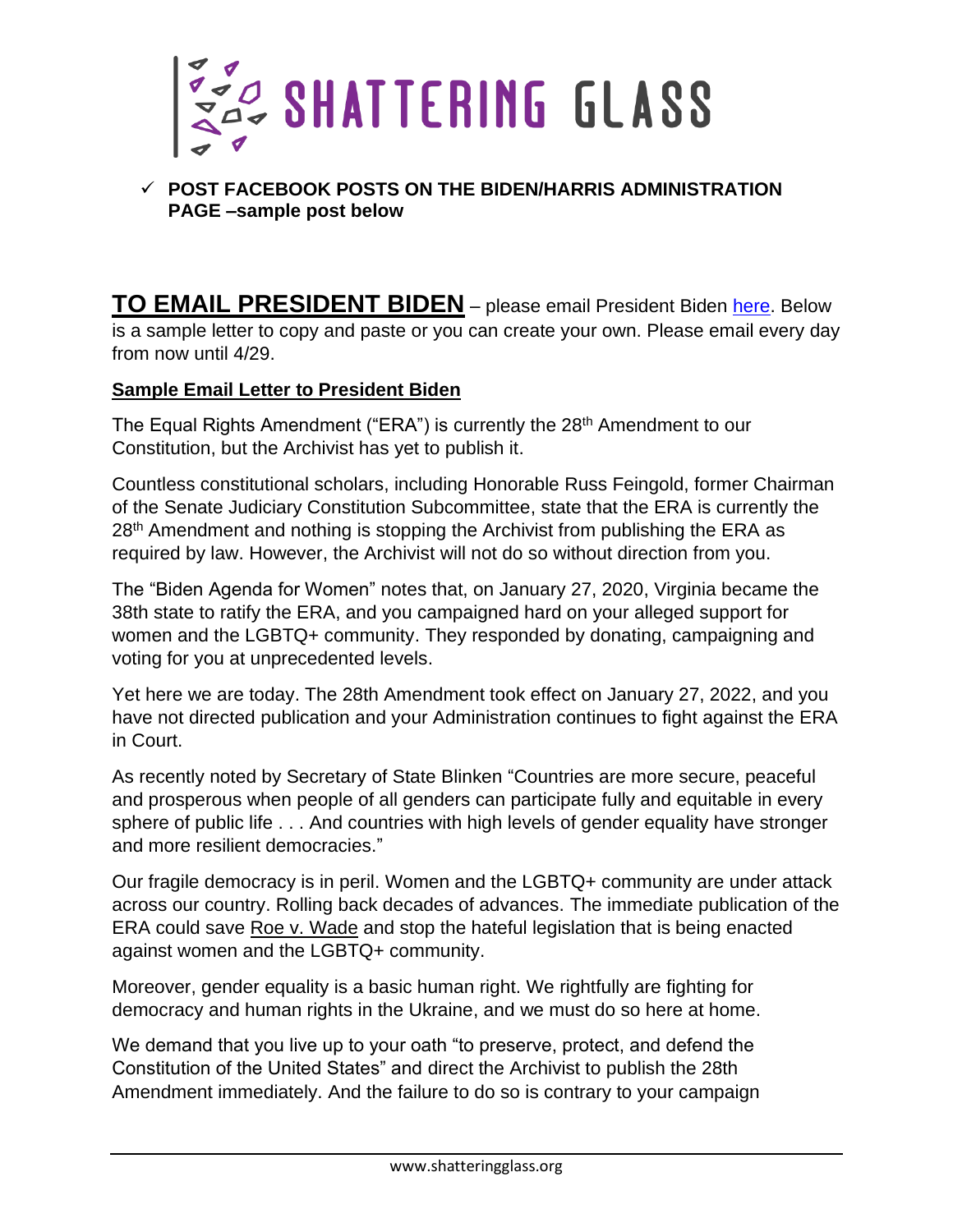

#### ✓ **POST FACEBOOK POSTS ON THE BIDEN/HARRIS ADMINISTRATION PAGE –sample post below**

**TO EMAIL PRESIDENT BIDEN** – please email President Biden [here.](https://www.whitehouse.gov/contact/) Below is a sample letter to copy and paste or you can create your own. Please email every day from now until 4/29.

#### **Sample Email Letter to President Biden**

The Equal Rights Amendment ("ERA") is currently the 28<sup>th</sup> Amendment to our Constitution, but the Archivist has yet to publish it.

Countless constitutional scholars, including Honorable Russ Feingold, former Chairman of the Senate Judiciary Constitution Subcommittee, state that the ERA is currently the 28<sup>th</sup> Amendment and nothing is stopping the Archivist from publishing the ERA as required by law. However, the Archivist will not do so without direction from you.

The "Biden Agenda for Women" notes that, on January 27, 2020, Virginia became the 38th state to ratify the ERA, and you campaigned hard on your alleged support for women and the LGBTQ+ community. They responded by donating, campaigning and voting for you at unprecedented levels.

Yet here we are today. The 28th Amendment took effect on January 27, 2022, and you have not directed publication and your Administration continues to fight against the ERA in Court.

As recently noted by Secretary of State Blinken "Countries are more secure, peaceful and prosperous when people of all genders can participate fully and equitable in every sphere of public life . . . And countries with high levels of gender equality have stronger and more resilient democracies."

Our fragile democracy is in peril. Women and the LGBTQ+ community are under attack across our country. Rolling back decades of advances. The immediate publication of the ERA could save Roe v. Wade and stop the hateful legislation that is being enacted against women and the LGBTQ+ community.

Moreover, gender equality is a basic human right. We rightfully are fighting for democracy and human rights in the Ukraine, and we must do so here at home.

We demand that you live up to your oath "to preserve, protect, and defend the Constitution of the United States" and direct the Archivist to publish the 28th Amendment immediately. And the failure to do so is contrary to your campaign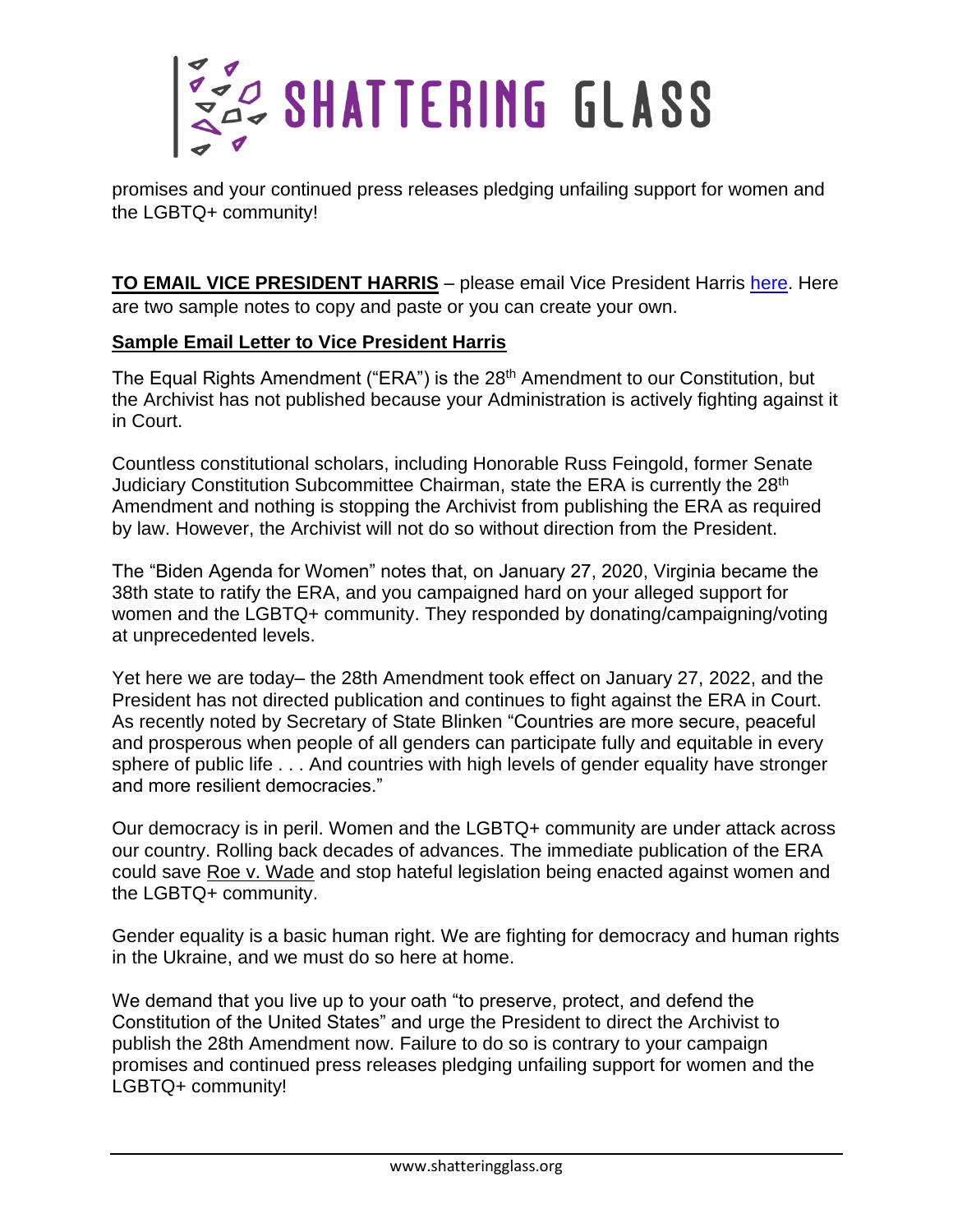

promises and your continued press releases pledging unfailing support for women and the LGBTQ+ community!

**TO EMAIL VICE PRESIDENT HARRIS** - please email Vice President Harris [here.](https://www.whitehouse.gov/contact/) Here are two sample notes to copy and paste or you can create your own.

#### **Sample Email Letter to Vice President Harris**

The Equal Rights Amendment ("ERA") is the 28<sup>th</sup> Amendment to our Constitution, but the Archivist has not published because your Administration is actively fighting against it in Court.

Countless constitutional scholars, including Honorable Russ Feingold, former Senate Judiciary Constitution Subcommittee Chairman, state the ERA is currently the 28<sup>th</sup> Amendment and nothing is stopping the Archivist from publishing the ERA as required by law. However, the Archivist will not do so without direction from the President.

The "Biden Agenda for Women" notes that, on January 27, 2020, Virginia became the 38th state to ratify the ERA, and you campaigned hard on your alleged support for women and the LGBTQ+ community. They responded by donating/campaigning/voting at unprecedented levels.

Yet here we are today– the 28th Amendment took effect on January 27, 2022, and the President has not directed publication and continues to fight against the ERA in Court. As recently noted by Secretary of State Blinken "Countries are more secure, peaceful and prosperous when people of all genders can participate fully and equitable in every sphere of public life . . . And countries with high levels of gender equality have stronger and more resilient democracies."

Our democracy is in peril. Women and the LGBTQ+ community are under attack across our country. Rolling back decades of advances. The immediate publication of the ERA could save Roe v. Wade and stop hateful legislation being enacted against women and the LGBTQ+ community.

Gender equality is a basic human right. We are fighting for democracy and human rights in the Ukraine, and we must do so here at home.

We demand that you live up to your oath "to preserve, protect, and defend the Constitution of the United States" and urge the President to direct the Archivist to publish the 28th Amendment now. Failure to do so is contrary to your campaign promises and continued press releases pledging unfailing support for women and the LGBTQ+ community!